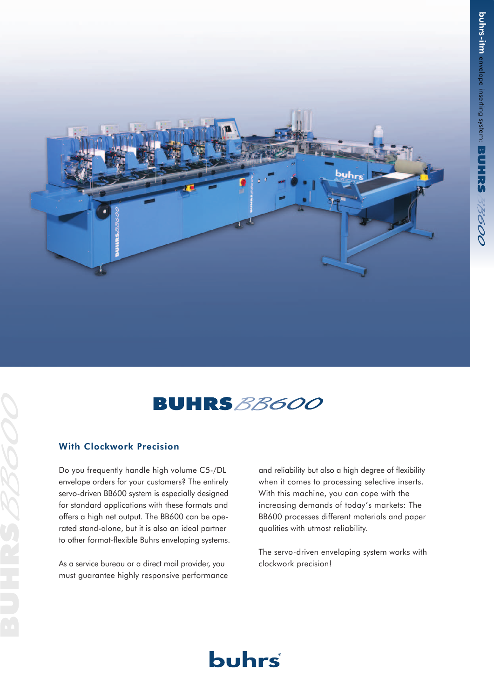



# With Clockwork Precision

Do you frequently handle high volume C5-/DL envelope orders for your customers? The entirely servo-driven BB600 system is especially designed for standard applications with these formats and offers a high net output. The BB600 can be operated stand-alone, but it is also an ideal partner to other format-flexible Buhrs enveloping systems.

As a service bureau or a direct mail provider, you must guarantee highly responsive performance and reliability but also a high degree of flexibility when it comes to processing selective inserts. With this machine, you can cope with the increasing demands of today's markets: The BB600 processes different materials and paper qualities with utmost reliability.

The servo-driven enveloping system works with clockwork precision!

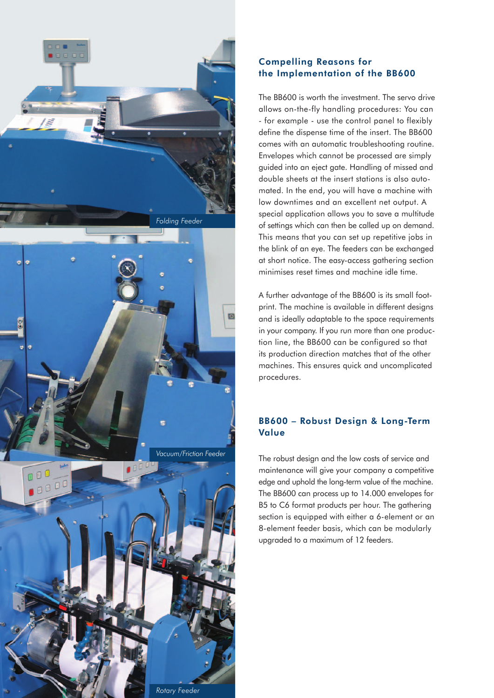

# Compelling Reasons for the Implementation of the BB600

The BB600 is worth the investment. The servo drive allows on-the-fly handling procedures: You can - for example - use the control panel to flexibly define the dispense time of the insert. The BB600 comes with an automatic troubleshooting routine. Envelopes which cannot be processed are simply guided into an eject gate. Handling of missed and double sheets at the insert stations is also automated. In the end, you will have a machine with low downtimes and an excellent net output. A special application allows you to save a multitude of settings which can then be called up on demand. This means that you can set up repetitive jobs in the blink of an eye. The feeders can be exchanged at short notice. The easy-access gathering section minimises reset times and machine idle time.

A further advantage of the BB600 is its small footprint. The machine is available in different designs and is ideally adaptable to the space requirements in your company. If you run more than one production line, the BB600 can be configured so that its production direction matches that of the other machines. This ensures quick and uncomplicated procedures.

# BB600 – Robust Design & Long-Term Value

The robust design and the low costs of service and maintenance will give your company a competitive edge and uphold the long-term value of the machine. The BB600 can process up to 14.000 envelopes for B5 to C6 format products per hour. The gathering section is equipped with either a 6-element or an 8-element feeder basis, which can be modularly upgraded to a maximum of 12 feeders.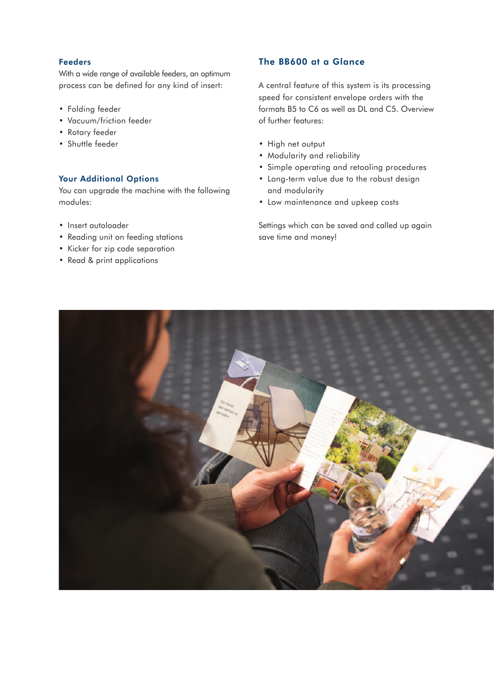### Feeders

With a wide range of available feeders, an optimum process can be defined for any kind of insert:

- Folding feeder
- Vacuum/friction feeder
- Rotary feeder
- Shuttle feeder

#### Your Additional Options

You can upgrade the machine with the following modules:

- Insert autoloader
- Reading unit on feeding stations
- Kicker for zip code separation
- Read & print applications

# The BB600 at a Glance

A central feature of this system is its processing speed for consistent envelope orders with the formats B5 to C6 as well as DL and C5. Overview of further features:

- High net output
- Modularity and reliability
- Simple operating and retooling procedures
- Long-term value due to the robust design and modularity
- Low maintenance and upkeep costs

Settings which can be saved and called up again save time and money!